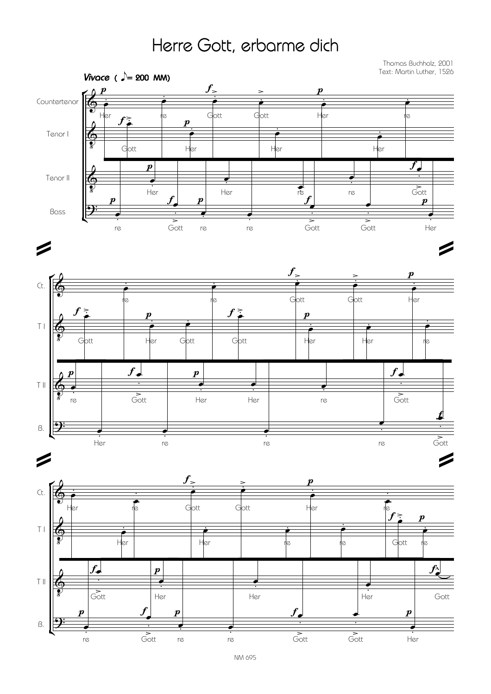## Herre Gott, erbarme dich

Vivace ( $\sqrt{ }= 200$  MM) Thomas Buchholz, 2001 Text: Martin Luther, 1526 Countertenor Tenor I Tenor II Bass ŕ Ľ  $\Phi$ Her p e Gott  $\boldsymbol{f}_{\mathsf{s}}$ Gott Her  $\boldsymbol{p}$ re  $\dot{\bullet}$  $\frac{1}{\sqrt{2}}$  $\frac{J_{>}}{\bullet}$  $\frac{1}{1}$  $\frac{1}{\cdot}$   $\frac{1}{\cdot}$ :  $\frac{p}{p}$  $\frac{1}{\sqrt{2}}$ .<br>. </del> e<br>8 f Gott  $\boldsymbol{p}$ Her Her Her  $\ddot{\cdot}$  $\frac{1}{\cdot}$  $\dot{\bullet}$  $\frac{1}{\sqrt{1-\frac{1}{\sqrt{1-\frac{1}{\sqrt{1-\frac{1}{\sqrt{1-\frac{1}{\sqrt{1-\frac{1}{\sqrt{1-\frac{1}{\sqrt{1-\frac{1}{\sqrt{1-\frac{1}{\sqrt{1-\frac{1}{\sqrt{1-\frac{1}{\sqrt{1-\frac{1}{\sqrt{1-\frac{1}{\sqrt{1-\frac{1}{\sqrt{1-\frac{1}{\sqrt{1-\frac{1}{\sqrt{1-\frac{1}{\sqrt{1-\frac{1}{\sqrt{1-\frac{1}{\sqrt{1-\frac{1}{\sqrt{1-\frac{1}{\sqrt{1-\frac{1}{\sqrt{1-\frac{1}{\sqrt{1-\frac{1}{\sqrt{1-\frac{1$  $\frac{1}{\epsilon}$  $\frac{1}{2}$  $\Phi$  Her p Her | re | Gott  $f$  ,  $\frac{1}{\bullet}$  $rac{1}{\sqrt{1-\frac{1}{\sqrt{1-\frac{1}{\sqrt{1-\frac{1}{\sqrt{1-\frac{1}{\sqrt{1-\frac{1}{\sqrt{1-\frac{1}{\sqrt{1-\frac{1}{\sqrt{1-\frac{1}{\sqrt{1-\frac{1}{\sqrt{1-\frac{1}{\sqrt{1-\frac{1}{\sqrt{1-\frac{1}{\sqrt{1-\frac{1}{\sqrt{1-\frac{1}{\sqrt{1-\frac{1}{\sqrt{1-\frac{1}{\sqrt{1-\frac{1}{\sqrt{1-\frac{1}{\sqrt{1-\frac{1}{\sqrt{1-\frac{1}{\sqrt{1-\frac{1}{\sqrt{1-\frac{1}{\sqrt{1-\frac{1}{\sqrt{1-\frac{1}{$  $\frac{1}{\cdot}$  $\frac{1}{1}$  $\cdot$  $\sum_{\text{Gott}}$ <u>ີງ:</u> re p  $rac{1}{\text{Gott}}$ f re  $\boldsymbol{p}$ re Gott f  $\zeta$  $\boldsymbol{p}$ Her ⋣  $\ddot{\phantom{a}}$  $\overline{\phantom{a}}$  $\overline{\cdot}$  $\begin{array}{c|c|c|c|c} \hline \bullet & \bullet & \bullet \\ \hline \bullet & \bullet & \bullet \\ \hline \end{array}$  $\ddot{\phantom{a}}$  $\overline{\phantom{a}}$  $\ddot{\ }$  $\frac{1}{\sqrt{2}}$  $\overline{\cdot}$  $\begin{array}{c|c|c|c} \cdot & \bullet & \bullet \\ \hline \bullet & \bullet & \bullet \\ \hline \end{array}$  $\ddot{\phantom{a}}$ Ct. T I T II B. ŕ Ľ  $\Phi$ re retreation and retreation of  $r$  $f<sub>z</sub>$ Gott Gott Her p  $\dot{\bullet}$  $\frac{1}{\sqrt{2}}$  $\frac{1}{\sqrt{2}}$  $\frac{1}{2}$  $\frac{1}{\phi}$   $\frac{1}{\phi}$  $\frac{1}{1}$  $\frac{p}{\dot{p}}$  $\frac{1}{2}$  $\Phi$ e<br>8 f Gott Her p Gott f Gott Her p  $H_{\alpha r}$  $\ddot{\cdot}$  $\frac{1}{\cdot}$  $\dot{\bullet}$  $\frac{1}{\epsilon}$  $\frac{f}{\cdot}$  $\ddot{\cdot}$  $\frac{1}{\bullet}$  $\frac{1}{\epsilon}$  $\frac{1}{\epsilon}$  $\frac{1}{2}$  $\Phi$  re  $p \qquad \qquad f$ Gott Her  $\boldsymbol{p}$ Her re Gott  $f_{\bullet}$  $\frac{1}{\bullet}$  $\ddot{\phantom{a}}$  $\overline{\cdot}$  $\begin{array}{c|c|c|c} \hline \cdot & \bullet & \bullet \\ \hline \end{array}$  $\overline{\phantom{a}}$  $\bullet$   $\bullet$   $\bullet$  $\overline{\cdot}$ <u>ີງ:</u> Her re re re f —<br>Gott  $\frac{1}{\bullet}$  $\overline{\phantom{a}}$  $\overline{\phantom{a}}$  $\ddot{\phantom{a}}$  $\overline{\phantom{a}}$  $\frac{1}{1}$  $\overline{\cdot}$ Ct. T I T II B. ŕ Ľ  $\Phi$ Her re Gott  $\boldsymbol{f}_z$ Gott Her p re  $\dot{\bullet}$  $\frac{1}{\epsilon}$  $\cdot$   $\qquad \qquad$  $\frac{1}{1}$  $\frac{1}{\dot{\theta}}$   $\frac{1}{\dot{\theta}}$  $\frac{1}{2}$  $\frac{p}{\dot{p}}$  $\frac{1}{\epsilon}$  $\cdot$  $\Phi$  Her Her re re f Gott p  $\dot{\bullet}$  $\frac{1}{\epsilon}$  $\frac{1}{\epsilon}$  $\frac{1}{\epsilon}$  $\frac{f}{f}$  $\frac{1}{\cdot}$  $\dot{\bullet}$ ;  $\Phi$  Gott f Her  $\boldsymbol{p}$ Her Her Gott <sup>f</sup>  $\frac{1}{\sqrt{1-\frac{1}{\sqrt{1-\frac{1}{\sqrt{1-\frac{1}{\sqrt{1-\frac{1}{\sqrt{1-\frac{1}{\sqrt{1-\frac{1}{\sqrt{1-\frac{1}{\sqrt{1-\frac{1}{\sqrt{1-\frac{1}{\sqrt{1-\frac{1}{\sqrt{1-\frac{1}{\sqrt{1-\frac{1}{\sqrt{1-\frac{1}{\sqrt{1-\frac{1}{\sqrt{1-\frac{1}{\sqrt{1-\frac{1}{\sqrt{1-\frac{1}{\sqrt{1-\frac{1}{\sqrt{1-\frac{1}{\sqrt{1-\frac{1}{\sqrt{1-\frac{1}{\sqrt{1-\frac{1}{\sqrt{1-\frac{1}{\sqrt{1-\frac{1$  $\bullet$   $\bullet$  $\overline{\phantom{a}}$  $\ddot{\phantom{a}}$  $\stackrel{\wedge}{\bullet}$ <u>ີງ:</u> re p Gott f re p re Gott f Gott Her  $\boldsymbol{p}$  $\frac{1}{\cdot}$ :  $\overline{\phantom{a}}$  $\ddot{\cdot}$  $\frac{1}{\sqrt{1-\frac{1}{\sqrt{1-\frac{1}{\sqrt{1-\frac{1}{\sqrt{1-\frac{1}{\sqrt{1-\frac{1}{\sqrt{1-\frac{1}{\sqrt{1-\frac{1}{\sqrt{1-\frac{1}{\sqrt{1-\frac{1}{\sqrt{1-\frac{1}{\sqrt{1-\frac{1}{\sqrt{1-\frac{1}{\sqrt{1-\frac{1}{\sqrt{1-\frac{1}{\sqrt{1-\frac{1}{\sqrt{1-\frac{1}{\sqrt{1-\frac{1}{\sqrt{1-\frac{1}{\sqrt{1-\frac{1}{\sqrt{1-\frac{1}{\sqrt{1-\frac{1}{\sqrt{1-\frac{1}{\sqrt{1-\frac{1}{\sqrt{1-\frac{1$ :  $\overline{\phantom{a}}$  $\ddot{\phantom{0}}$ <u>J</u>  $\ddot{\phantom{0}}$  $\begin{array}{c|c}\n\cdot & \cdot & \cdot \\
\hline\n\end{array}$ :  $\overline{z}$  and the contract of the contract of the contract of the contract of the contract of the contract of the contract of the contract of the contract of the contract of the contract of the contract of the contract of  $\overline{z}$  and the contract of the contract of the contract of the contract of the contract of the contract of the contract of the contract of the contract of the contract of the contract of the contract of the contract of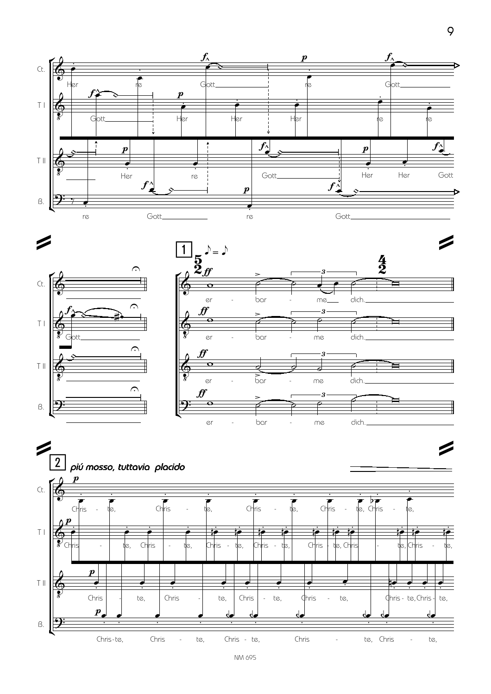







Chris-te, Chris - te, Chris te, Chris - te, Chris - te, Chris - te,

9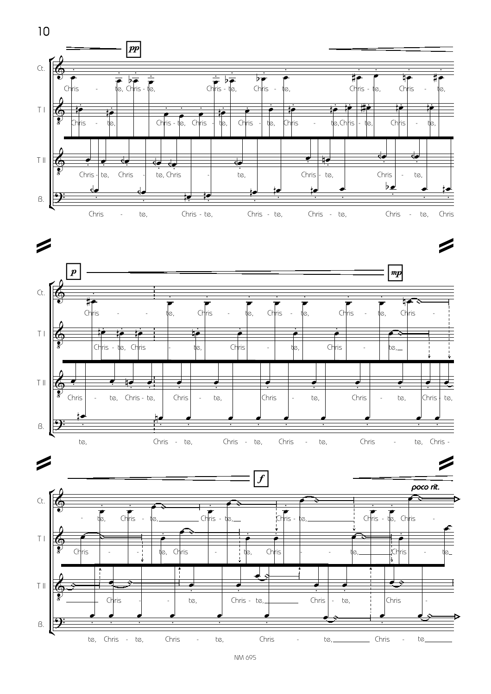Ct. T I T II B. ŕ Ľ  $\Phi$ Ch<mark>ris - t</mark>e, Chris pp - Chris te, te, - Chris te, - Chris te, - Chris te, -  $\frac{1}{\bullet}$  $\frac{1}{\epsilon}$  $\frac{1}{\sqrt{2}}$  $\cdot$  $\cdot$  $\frac{1}{\sqrt{p}}$   $\frac{1}{\sqrt{p}}$   $\frac{1}{\sqrt{p}}$  $\cdot$   $\cdot$  $\begin{array}{c} \mathbf{H} \bullet \\ \mathbf{Chris} - \mathbf{I} \otimes \mathbf{R} \end{array}$ .<br>• 1<del>1</del>0 #0  $\cdot$  $\cdot$ Ħ  $\Phi$  $\bullet$  Chris - ie,  $\vert$  chris te, Chris te, Chris te, - te, Chris te, - te, - chris te, - te, - te, - te, - te, - $\dot{\bullet}$  $\frac{1}{2}$  $\dot{\bullet}$   $\dot{\bullet}$  $\frac{1}{2}$  $\overrightarrow{p}$  , and the set of  $\overrightarrow{p}$  $\frac{1}{\sqrt{2}}$ te. Chris  $\frac{1}{2}$  $\frac{1}{2}$  $\frac{1}{2}$  $\frac{1}{\epsilon}$  $\frac{1}{\epsilon}$  $\frac{1}{2}$  $\frac{1}{2}$  $\frac{1}{2}$  $\dot{\bullet}$  is # $\dot{\phantom{0}}$  **;**  $\Phi$  $\stackrel{\bullet}{\bullet}$  Chris te, Chris te, Chris te, i.e.,  $\begin{vmatrix} \cdot & \cdot & \cdot \\ \cdot & \cdot & \cdot \\ \cdot & \cdot & \cdot \end{vmatrix}$  chris te,  $\begin{vmatrix} \cdot & \cdot & \cdot \\ \cdot & \cdot & \cdot \\ \cdot & \cdot & \cdot \end{vmatrix}$ .  $\overline{\bullet}$  $\bullet$   $\bullet$   $\bullet$   $\bullet$ ŗ  $\begin{array}{c|c} \n\cdot & \cdot \\
\hline\n\end{array}$  . The term is the term of the term is the term of the term is the term in the term is the term in the term is the term in term in term in term is the term in term in term in term is the term i ŗ  $\frac{1}{\sqrt{2}}$  $\frac{1}{1}$  $\frac{1}{2}$  $\frac{1}{1}$  $\overrightarrow{a}$  $\frac{1}{1}$  $\frac{1}{2}$ <u>ີງ:</u> Chris - te, Chris te, Chris te, Chris te, Chris - te, Chris - te, Chris  $\overline{\phantom{a}}$  $\ddot{\ }$   $\ddot{\phantom{0}}$  $\leftrightarrow$  $\overline{\cdot}$  $\frac{1}{2}$   $\frac{1}{2}$  $\ddot{\phantom{0}}$  $\overrightarrow{=}$  $\ddot{\phantom{0}}$ <u>td td</u>  $\ddot{\ }$  $\overline{\phantom{a}}$  $\frac{1}{1}$  be  $\cdot$ <u>be</u>  $\ddot{\phantom{0}}$ ł 10

 $\overline{z}$  and the contract of the contract of the contract of the contract of the contract of the contract of the contract of the contract of the contract of the contract of the contract of the contract of the contract of